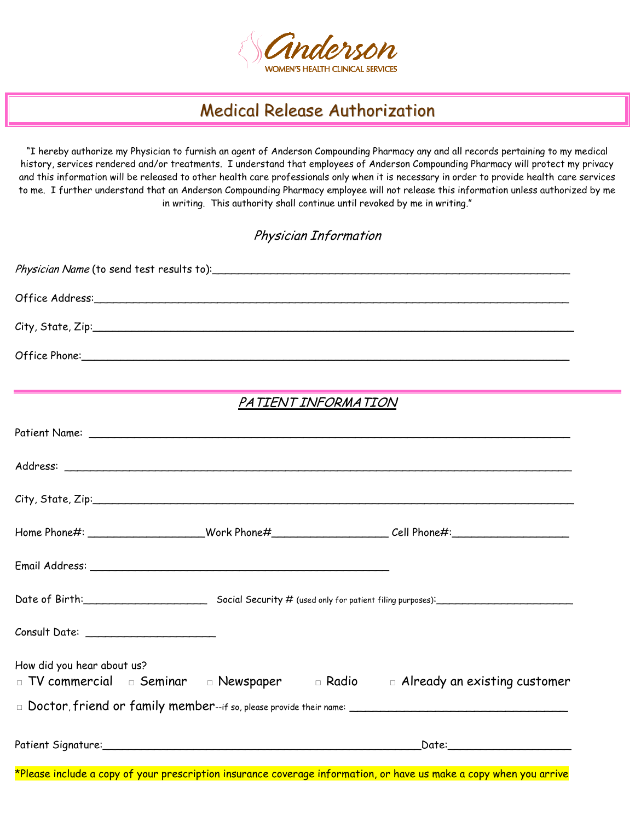

## Medical Release Authorization

"I hereby authorize my Physician to furnish an agent of Anderson Compounding Pharmacy any and all records pertaining to my medical history, services rendered and/or treatments. I understand that employees of Anderson Compounding Pharmacy will protect my privacy and this information will be released to other health care professionals only when it is necessary in order to provide health care services to me. I further understand that an Anderson Compounding Pharmacy employee will not release this information unless authorized by me in writing. This authority shall continue until revoked by me in writing."

Physician Information

|                            | Physician Name (to send test results to): \\estinguist \\estinguist contact results to \\estinguist contact results to \\estinguist contact results for a meta- |                                     |
|----------------------------|-----------------------------------------------------------------------------------------------------------------------------------------------------------------|-------------------------------------|
|                            |                                                                                                                                                                 |                                     |
|                            |                                                                                                                                                                 |                                     |
|                            |                                                                                                                                                                 |                                     |
|                            | PATIENT INFORMATION                                                                                                                                             |                                     |
|                            |                                                                                                                                                                 |                                     |
|                            |                                                                                                                                                                 |                                     |
|                            |                                                                                                                                                                 |                                     |
|                            | Home Phone#: _______________________Work Phone#____________________________Cell Phone#:______________________                                                   |                                     |
|                            |                                                                                                                                                                 |                                     |
|                            | Date of Birth: Social Security # (used only for patient filing purposes): Container to the Social Security # (used only for patient filing purposes):           |                                     |
|                            |                                                                                                                                                                 |                                     |
| How did you hear about us? | $\Box$ TV commercial $\Box$ Seminar $\Box$ Newspaper $\Box$ Radio                                                                                               | $\Box$ Already an existing customer |
|                            |                                                                                                                                                                 |                                     |
|                            |                                                                                                                                                                 |                                     |
|                            |                                                                                                                                                                 |                                     |

\*Please include a copy of your prescription insurance coverage information, or have us make a copy when you arrive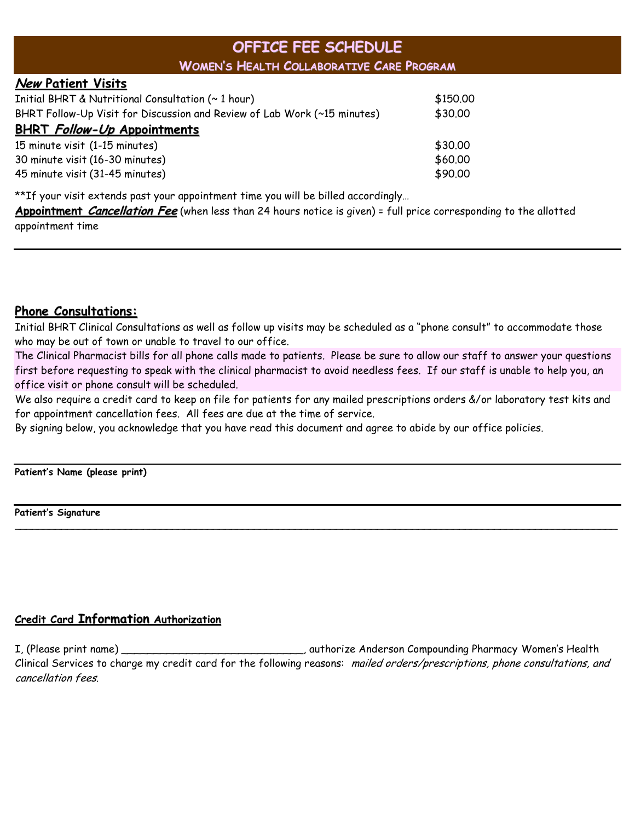## **OFFICE FEE SCHEDULE WOMEN'S HEALTH COLLABORATIVE CARE PROGRAM**

#### **New Patient Visits**

| Initial BHRT & Nutritional Consultation (~ 1 hour)                       | \$150.00 |
|--------------------------------------------------------------------------|----------|
| BHRT Follow-Up Visit for Discussion and Review of Lab Work (~15 minutes) | \$30.00  |
| <b>BHRT Follow-Up Appointments</b>                                       |          |
| 15 minute visit (1-15 minutes)                                           | \$30.00  |
| 30 minute visit (16-30 minutes)                                          | \$60.00  |
| 45 minute visit (31-45 minutes)                                          | \$90.00  |

\*\*If your visit extends past your appointment time you will be billed accordingly…

**Appointment Cancellation Fee** (when less than 24 hours notice is given) = full price corresponding to the allotted appointment time

### **Phone Consultations:**

Initial BHRT Clinical Consultations as well as follow up visits may be scheduled as a "phone consult" to accommodate those who may be out of town or unable to travel to our office.

The Clinical Pharmacist bills for all phone calls made to patients. Please be sure to allow our staff to answer your questions first before requesting to speak with the clinical pharmacist to avoid needless fees. If our staff is unable to help you, an office visit or phone consult will be scheduled.

We also require a credit card to keep on file for patients for any mailed prescriptions orders &/or laboratory test kits and for appointment cancellation fees. All fees are due at the time of service.

\_\_\_\_\_\_\_\_\_\_\_\_\_\_\_\_\_\_\_\_\_\_\_\_\_\_\_\_\_\_\_\_\_\_\_\_\_\_\_\_\_\_\_\_\_\_\_\_\_\_\_\_\_\_\_\_\_\_\_\_\_\_\_\_\_\_\_\_\_\_\_\_\_\_\_\_\_\_\_\_\_\_\_\_\_\_\_\_\_\_\_\_\_\_\_\_\_\_\_\_\_\_\_

By signing below, you acknowledge that you have read this document and agree to abide by our office policies.

**Patient's Name (please print)**

**Patient's Signature**

### **Credit Card Information Authorization**

I, (Please print name) \_\_\_\_\_\_\_\_\_\_\_\_\_\_\_\_\_\_\_\_\_\_\_\_\_\_\_\_, authorize Anderson Compounding Pharmacy Women's Health Clinical Services to charge my credit card for the following reasons: mailed orders/prescriptions, phone consultations, and cancellation fees.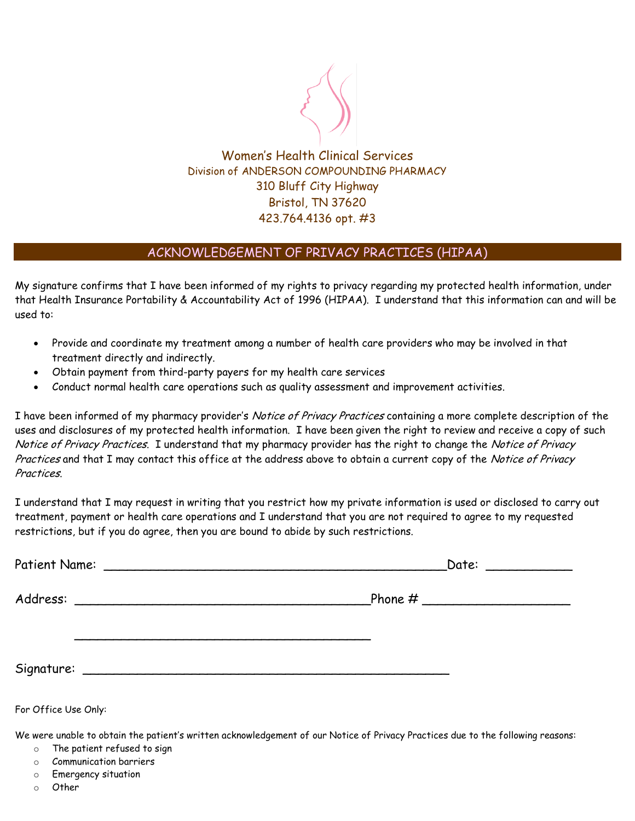

Women's Health Clinical Services Division of ANDERSON COMPOUNDING PHARMACY 310 Bluff City Highway Bristol, TN 37620 423.764.4136 opt. #3

### ACKNOWLEDGEMENT OF PRIVACY PRACTICES (HIPAA)

My signature confirms that I have been informed of my rights to privacy regarding my protected health information, under that Health Insurance Portability & Accountability Act of 1996 (HIPAA). I understand that this information can and will be used to:

- Provide and coordinate my treatment among a number of health care providers who may be involved in that treatment directly and indirectly.
- Obtain payment from third-party payers for my health care services
- Conduct normal health care operations such as quality assessment and improvement activities.

I have been informed of my pharmacy provider's Notice of Privacy Practices containing a more complete description of the uses and disclosures of my protected health information. I have been given the right to review and receive a copy of such Notice of Privacy Practices. I understand that my pharmacy provider has the right to change the Notice of Privacy Practices and that I may contact this office at the address above to obtain a current copy of the Notice of Privacy Practices.

I understand that I may request in writing that you restrict how my private information is used or disclosed to carry out treatment, payment or health care operations and I understand that you are not required to agree to my requested restrictions, but if you do agree, then you are bound to abide by such restrictions.

|                      | Date: ____________ |
|----------------------|--------------------|
|                      |                    |
|                      |                    |
| For Office Use Only: |                    |

We were unable to obtain the patient's written acknowledgement of our Notice of Privacy Practices due to the following reasons:

- o The patient refused to sign
- o Communication barriers
- o Emergency situation
- o Other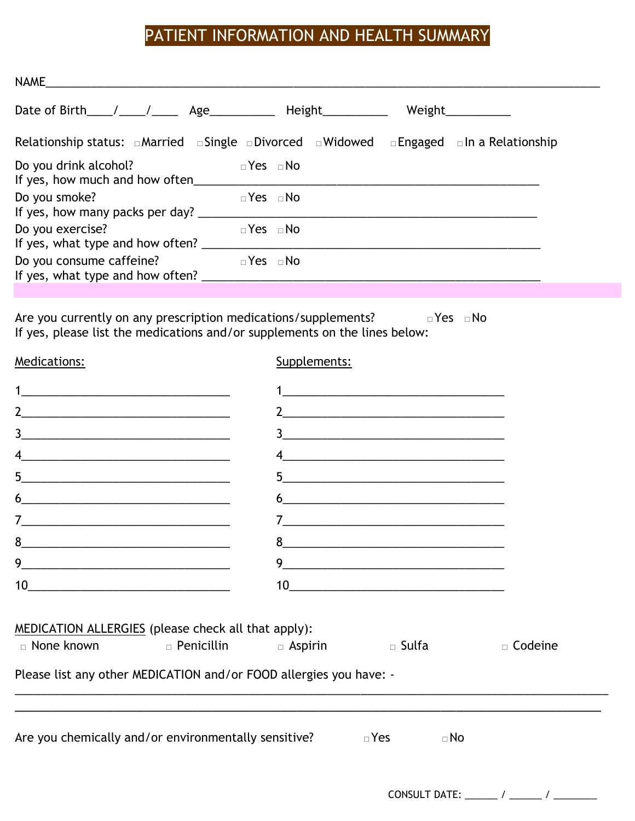## PATIENT INFORMATION AND HEALTH SUMMARY

| <b>NAME</b>                                                                                                              |                      |        |  |
|--------------------------------------------------------------------------------------------------------------------------|----------------------|--------|--|
| Date of Birth $/$ $/$ $/$ $\qquad$ Age                                                                                   | Height               | Weight |  |
| Relationship status: $\Box$ Married $\Box$ Single $\Box$ Divorced $\Box$ Widowed $\Box$ Engaged $\Box$ In a Relationship |                      |        |  |
| Do you drink alcohol?<br>If yes, how much and how often                                                                  | $\Box$ Yes $\Box$ No |        |  |
| Do you smoke?<br>If yes, how many packs per day? ___                                                                     | $\Box$ Yes $\Box$ No |        |  |
| Do you exercise?<br>If yes, what type and how often?                                                                     | $\Box$ Yes $\Box$ No |        |  |
| Do you consume caffeine?<br>If yes, what type and how often?                                                             | $\Box$ Yes $\Box$ No |        |  |

Are you currently on any prescription medications/supplements? □Yes □No If yes, please list the medications and/or supplements on the lines below:

| Medications:                                                                                                                                                                                                                                                                                                                                                                                                                                                               | Supplements: |                                               |                |
|----------------------------------------------------------------------------------------------------------------------------------------------------------------------------------------------------------------------------------------------------------------------------------------------------------------------------------------------------------------------------------------------------------------------------------------------------------------------------|--------------|-----------------------------------------------|----------------|
|                                                                                                                                                                                                                                                                                                                                                                                                                                                                            |              |                                               |                |
|                                                                                                                                                                                                                                                                                                                                                                                                                                                                            |              |                                               |                |
| $\begin{array}{c c c c c} \hline \rule{0pt}{8ex} & \rule{0pt}{8ex} \multicolumn{3}{8}{ \textbf{2}} & \multicolumn{3}{8}{ \textbf{2}} & \multicolumn{3}{8}{ \textbf{2}} & \multicolumn{3}{8}{ \textbf{2}} & \multicolumn{3}{8}{ \textbf{2}} & \multicolumn{3}{8}{ \textbf{2}} & \multicolumn{3}{8}{ \textbf{2}} & \multicolumn{3}{8}{ \textbf{2}} & \multicolumn{3}{8}{ \textbf{2}} & \multicolumn{3}{8}{ \textbf{2}} & \multicolumn{3}{8}{ \textbf{2}} & \multicolumn{3}{$ |              | $\frac{3}{2}$                                 |                |
| $\frac{4}{2}$                                                                                                                                                                                                                                                                                                                                                                                                                                                              |              |                                               |                |
| 5 <sup>1</sup>                                                                                                                                                                                                                                                                                                                                                                                                                                                             |              | $\begin{tabular}{c} 5 \end{tabular}$          |                |
| 6<br><u> 1980 - Jan Jan Jawa Barat, masjid a shekarar 1980 - Amerika Shekara, masjid a shekarar 1980 - Amerika Shekara</u>                                                                                                                                                                                                                                                                                                                                                 |              |                                               |                |
| $\begin{array}{c} \mathbf{7} \qquad \qquad \mathbf{1} \qquad \qquad \mathbf{1} \qquad \qquad \mathbf{1} \qquad \qquad \mathbf{1} \qquad \qquad \mathbf{1} \qquad \qquad \mathbf{1} \qquad \qquad \mathbf{1} \qquad \mathbf{1} \qquad \mathbf{1} \qquad \mathbf{1} \qquad \mathbf{1} \qquad \mathbf{1} \qquad \mathbf{1} \qquad \mathbf{1} \qquad \mathbf{1} \qquad \mathbf{1} \qquad \mathbf{1} \qquad \mathbf{1} \qquad \mathbf{1} \qquad \mathbf{1} \qquad \mathbf$      |              |                                               |                |
|                                                                                                                                                                                                                                                                                                                                                                                                                                                                            |              |                                               |                |
|                                                                                                                                                                                                                                                                                                                                                                                                                                                                            |              | 9                                             |                |
|                                                                                                                                                                                                                                                                                                                                                                                                                                                                            |              | $10 \qquad \qquad \overbrace{\qquad \qquad }$ |                |
| MEDICATION ALLERGIES (please check all that apply):                                                                                                                                                                                                                                                                                                                                                                                                                        |              |                                               |                |
| □ None known      □ Penicillin      □ Aspirin       □ Sulfa                                                                                                                                                                                                                                                                                                                                                                                                                |              |                                               | $\Box$ Codeine |
| Please list any other MEDICATION and/or FOOD allergies you have: -                                                                                                                                                                                                                                                                                                                                                                                                         |              |                                               |                |
|                                                                                                                                                                                                                                                                                                                                                                                                                                                                            |              |                                               |                |
| Are you chemically and/or environmentally sensitive? $\Box$ Yes                                                                                                                                                                                                                                                                                                                                                                                                            |              | $\Box$ No                                     |                |
|                                                                                                                                                                                                                                                                                                                                                                                                                                                                            |              |                                               |                |

CONSULT DATE: \_\_\_\_\_\_ / \_\_\_\_\_\_ / \_\_\_\_\_\_\_\_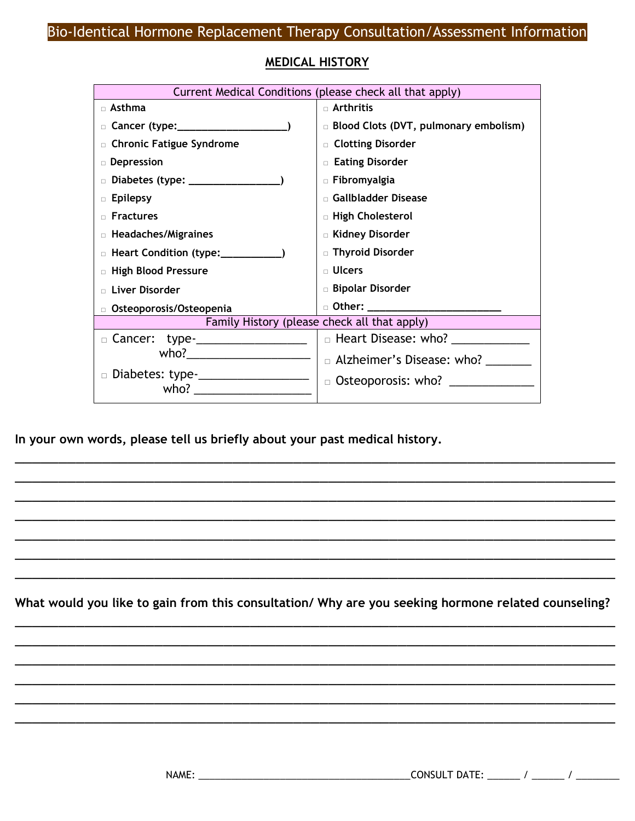|                                       | Current Medical Conditions (please check all that apply) |
|---------------------------------------|----------------------------------------------------------|
| □ Asthma                              | □ Arthritis                                              |
|                                       | □ Blood Clots (DVT, pulmonary embolism)                  |
| □ Chronic Fatigue Syndrome            | □ Clotting Disorder                                      |
| Depression                            | <b>Eating Disorder</b>                                   |
|                                       | □ Fibromyalgia                                           |
| <b>Epilepsy</b>                       | Gallbladder Disease                                      |
| <b>Fractures</b>                      | □ High Cholesterol                                       |
| □ Headaches/Migraines                 | <b>E</b> Kidney Disorder                                 |
| D Heart Condition (type: __________   | □ Thyroid Disorder                                       |
| <b>E</b> High Blood Pressure          | $\blacksquare$ Ulcers                                    |
| Liver Disorder                        | <b>Bipolar Disorder</b>                                  |
| Osteoporosis/Osteopenia               | □ Other: ________________________                        |
|                                       | Family History (please check all that apply)             |
| □ Cancer: type-____________________   |                                                          |
| who?_________________________         | □ Alzheimer's Disease: who?                              |
| □ Diabetes: type-____________________ | $\Box$ Osteoporosis: who? __________                     |
|                                       |                                                          |

### **MEDICAL HISTORY**

**In your own words, please tell us briefly about your past medical history.** 

**What would you like to gain from this consultation/ Why are you seeking hormone related counseling?**  \_\_\_\_\_\_\_\_\_\_\_\_\_\_\_\_\_\_\_\_\_\_\_\_\_\_\_\_\_\_\_\_\_\_\_\_\_\_\_\_\_\_\_\_\_\_\_\_\_\_\_\_\_\_\_\_\_\_\_\_\_\_\_\_\_\_\_\_\_

\_\_\_\_\_\_\_\_\_\_\_\_\_\_\_\_\_\_\_\_\_\_\_\_\_\_\_\_\_\_\_\_\_\_\_\_\_\_\_\_\_\_\_\_\_\_\_\_\_\_\_\_\_\_\_\_\_\_\_\_\_\_\_\_\_\_\_\_\_ \_\_\_\_\_\_\_\_\_\_\_\_\_\_\_\_\_\_\_\_\_\_\_\_\_\_\_\_\_\_\_\_\_\_\_\_\_\_\_\_\_\_\_\_\_\_\_\_\_\_\_\_\_\_\_\_\_\_\_\_\_\_\_\_\_\_\_\_\_ \_\_\_\_\_\_\_\_\_\_\_\_\_\_\_\_\_\_\_\_\_\_\_\_\_\_\_\_\_\_\_\_\_\_\_\_\_\_\_\_\_\_\_\_\_\_\_\_\_\_\_\_\_\_\_\_\_\_\_\_\_\_\_\_\_\_\_\_\_ \_\_\_\_\_\_\_\_\_\_\_\_\_\_\_\_\_\_\_\_\_\_\_\_\_\_\_\_\_\_\_\_\_\_\_\_\_\_\_\_\_\_\_\_\_\_\_\_\_\_\_\_\_\_\_\_\_\_\_\_\_\_\_\_\_\_\_\_\_ \_\_\_\_\_\_\_\_\_\_\_\_\_\_\_\_\_\_\_\_\_\_\_\_\_\_\_\_\_\_\_\_\_\_\_\_\_\_\_\_\_\_\_\_\_\_\_\_\_\_\_\_\_\_\_\_\_\_\_\_\_\_\_\_\_\_\_\_\_

\_\_\_\_\_\_\_\_\_\_\_\_\_\_\_\_\_\_\_\_\_\_\_\_\_\_\_\_\_\_\_\_\_\_\_\_\_\_\_\_\_\_\_\_\_\_\_\_\_\_\_\_\_\_\_\_\_\_\_\_\_\_\_\_\_\_\_\_\_ \_\_\_\_\_\_\_\_\_\_\_\_\_\_\_\_\_\_\_\_\_\_\_\_\_\_\_\_\_\_\_\_\_\_\_\_\_\_\_\_\_\_\_\_\_\_\_\_\_\_\_\_\_\_\_\_\_\_\_\_\_\_\_\_\_\_\_\_\_ \_\_\_\_\_\_\_\_\_\_\_\_\_\_\_\_\_\_\_\_\_\_\_\_\_\_\_\_\_\_\_\_\_\_\_\_\_\_\_\_\_\_\_\_\_\_\_\_\_\_\_\_\_\_\_\_\_\_\_\_\_\_\_\_\_\_\_\_\_ \_\_\_\_\_\_\_\_\_\_\_\_\_\_\_\_\_\_\_\_\_\_\_\_\_\_\_\_\_\_\_\_\_\_\_\_\_\_\_\_\_\_\_\_\_\_\_\_\_\_\_\_\_\_\_\_\_\_\_\_\_\_\_\_\_\_\_\_\_ \_\_\_\_\_\_\_\_\_\_\_\_\_\_\_\_\_\_\_\_\_\_\_\_\_\_\_\_\_\_\_\_\_\_\_\_\_\_\_\_\_\_\_\_\_\_\_\_\_\_\_\_\_\_\_\_\_\_\_\_\_\_\_\_\_\_\_\_\_ \_\_\_\_\_\_\_\_\_\_\_\_\_\_\_\_\_\_\_\_\_\_\_\_\_\_\_\_\_\_\_\_\_\_\_\_\_\_\_\_\_\_\_\_\_\_\_\_\_\_\_\_\_\_\_\_\_\_\_\_\_\_\_\_\_\_\_\_\_ \_\_\_\_\_\_\_\_\_\_\_\_\_\_\_\_\_\_\_\_\_\_\_\_\_\_\_\_\_\_\_\_\_\_\_\_\_\_\_\_\_\_\_\_\_\_\_\_\_\_\_\_\_\_\_\_\_\_\_\_\_\_\_\_\_\_\_\_\_

NAME: \_\_\_\_\_\_\_\_\_\_\_\_\_\_\_\_\_\_\_\_\_\_\_\_\_\_\_\_\_\_\_\_\_\_\_\_\_\_\_CONSULT DATE: \_\_\_\_\_\_ / \_\_\_\_\_\_ / \_\_\_\_\_\_\_\_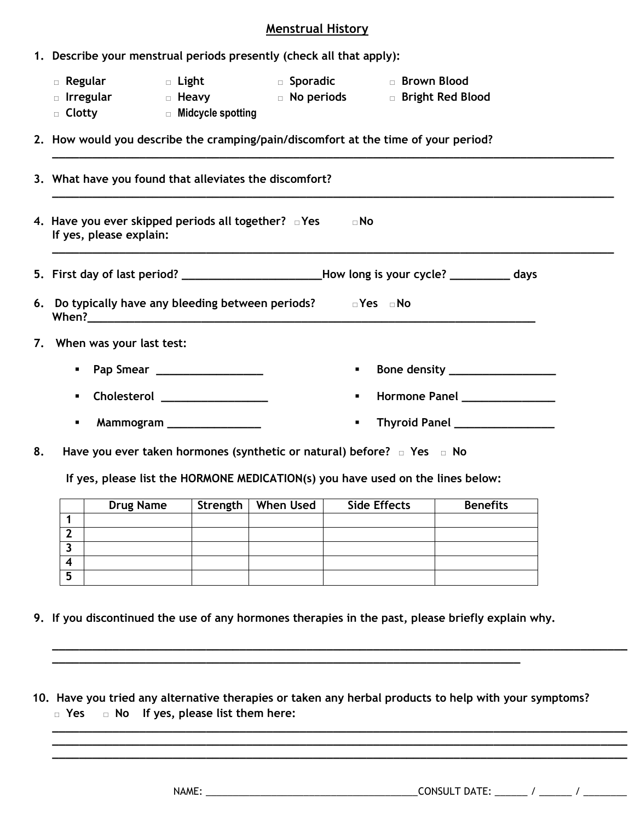#### **Menstrual History**

**\_\_\_\_\_\_\_\_\_\_\_\_\_\_\_\_\_\_\_\_\_\_\_\_\_\_\_\_\_\_\_\_\_\_\_\_\_\_\_\_\_\_\_\_\_\_\_\_\_\_\_\_\_\_\_\_\_\_\_\_\_\_\_\_\_\_\_\_\_\_\_\_\_\_\_\_\_\_\_\_\_\_\_\_**

|  |  |  |  |  | 1. Describe your menstrual periods presently (check all that apply): |
|--|--|--|--|--|----------------------------------------------------------------------|
|--|--|--|--|--|----------------------------------------------------------------------|

- **□ Regular □ Light □ Sporadic □ Brown Blood**
- **□ Irregular □ Heavy □ No periods □ Bright Red Blood**
- **□ Clotty □ Midcycle spotting**
- **2. How would you describe the cramping/pain/discomfort at the time of your period?**

|    | 3. What have you found that alleviates the discomfort?                                                                                                              |
|----|---------------------------------------------------------------------------------------------------------------------------------------------------------------------|
|    | 4. Have you ever skipped periods all together? $\Box$ Yes<br>$\neg$ No<br>If yes, please explain:                                                                   |
|    | 5. First day of last period? ________________________How long is your cycle? ____________ days                                                                      |
|    | 6. Do typically have any bleeding between periods? $\Box$ Yes $\Box$ No                                                                                             |
|    | 7. When was your last test:                                                                                                                                         |
|    | Pap Smear ___________________<br>Bone density ___________________<br>$\blacksquare$<br>$\blacksquare$                                                               |
|    | Hormone Panel _______________<br>Cholesterol _________________<br>$\blacksquare$<br>$\blacksquare$                                                                  |
|    | Thyroid Panel ________________<br>Mammogram ________________<br>$\blacksquare$<br>٠                                                                                 |
| 8. | Have you ever taken hormones (synthetic or natural) before? $\Box$ Yes $\Box$ No<br>If yes, please list the HORMONE MEDICATION(s) you have used on the lines below: |
|    | Strength   When Used  <br><b>Side Effects</b><br><b>Drug Name</b><br><b>Benefits</b>                                                                                |

|   | Drug Name | Strength | When Used | Side Effects | Benefits |
|---|-----------|----------|-----------|--------------|----------|
|   |           |          |           |              |          |
|   |           |          |           |              |          |
|   |           |          |           |              |          |
|   |           |          |           |              |          |
| э |           |          |           |              |          |

**9. If you discontinued the use of any hormones therapies in the past, please briefly explain why.**

**\_\_\_\_\_\_\_\_\_\_\_\_\_\_\_\_\_\_\_\_\_\_\_\_\_\_\_\_\_\_\_\_\_\_\_\_\_\_\_\_\_\_\_\_\_\_\_\_\_\_\_\_\_\_\_\_\_\_\_\_\_\_\_\_\_\_\_\_\_\_**

 **10. Have you tried any alternative therapies or taken any herbal products to help with your symptoms? □ Yes □ No If yes, please list them here:** 

**\_\_\_\_\_\_\_\_\_\_\_\_\_\_\_\_\_\_\_\_\_\_\_\_\_\_\_\_\_\_\_\_\_\_\_\_\_\_\_\_\_\_\_\_\_\_\_\_\_\_\_\_\_\_\_\_\_\_\_\_\_\_\_\_\_\_\_\_\_\_\_\_\_\_\_\_\_\_\_\_\_\_\_\_\_\_**

**\_\_\_\_\_\_\_\_\_\_\_\_\_\_\_\_\_\_\_\_\_\_\_\_\_\_\_\_\_\_\_\_\_\_\_\_\_\_\_\_\_\_\_\_\_\_\_\_\_\_\_\_\_\_\_\_\_\_\_\_\_\_\_\_\_\_\_\_\_\_\_\_\_\_\_\_\_\_\_\_\_\_\_\_\_\_ \_\_\_\_\_\_\_\_\_\_\_\_\_\_\_\_\_\_\_\_\_\_\_\_\_\_\_\_\_\_\_\_\_\_\_\_\_\_\_\_\_\_\_\_\_\_\_\_\_\_\_\_\_\_\_\_\_\_\_\_\_\_\_\_\_\_\_\_\_\_\_\_\_\_\_\_\_\_\_\_\_\_\_\_\_\_ \_\_\_\_\_\_\_\_\_\_\_\_\_\_\_\_\_\_\_\_\_\_\_\_\_\_\_\_\_\_\_\_\_\_\_\_\_\_\_\_\_\_\_\_\_\_\_\_\_\_\_\_\_\_\_\_\_\_\_\_\_\_\_\_\_\_\_\_\_\_\_\_\_\_\_\_\_\_\_\_\_\_\_\_\_\_**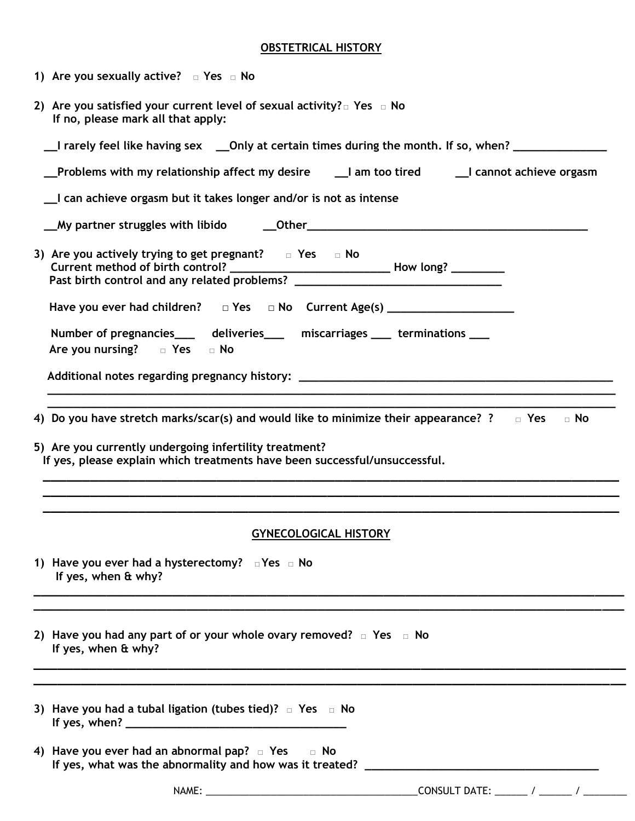#### **OBSTETRICAL HISTORY**

| 2) Are you satisfied your current level of sexual activity? $\square$ Yes $\square$ No<br>If no, please mark all that apply:         |
|--------------------------------------------------------------------------------------------------------------------------------------|
| _I rarely feel like having sex ___Only at certain times during the month. If so, when? _____________                                 |
| Problems with my relationship affect my desire [1] am too tired [1] cannot achieve orgasm                                            |
| _I can achieve orgasm but it takes longer and/or is not as intense                                                                   |
| My partner struggles with libido down of Dunner Communication and My partner struggles with libido down Dunner                       |
| 3) Are you actively trying to get pregnant? $\Box$ Yes $\Box$ No                                                                     |
| Have you ever had children? $\Box$ Yes $\Box$ No Current Age(s) ____________________                                                 |
| Number of pregnancies______ deliveries_____ miscarriages _____ terminations ____<br>Are you nursing? $\Box$ Yes $\Box$ No            |
|                                                                                                                                      |
| <u> 1989 - Johann Stein, marwolaethau a bhann an t-Amhair ann an t-Amhair an t-Amhair an t-Amhair an t-Amhair an</u>                 |
| 5) Are you currently undergoing infertility treatment?<br>If yes, please explain which treatments have been successful/unsuccessful. |
| <b>GYNECOLOGICAL HISTORY</b>                                                                                                         |
| 1) Have you ever had a hysterectomy? $\Box$ Yes $\Box$ No                                                                            |
| If yes, when & why?                                                                                                                  |
| 2) Have you had any part of or your whole ovary removed? $\Box$ Yes $\Box$ No<br>If yes, when & why?                                 |
|                                                                                                                                      |
| 3) Have you had a tubal ligation (tubes tied)? $\Box$ Yes $\Box$ No                                                                  |
| 4) Have you ever had an abnormal pap? $\Box$ Yes $\Box$ No                                                                           |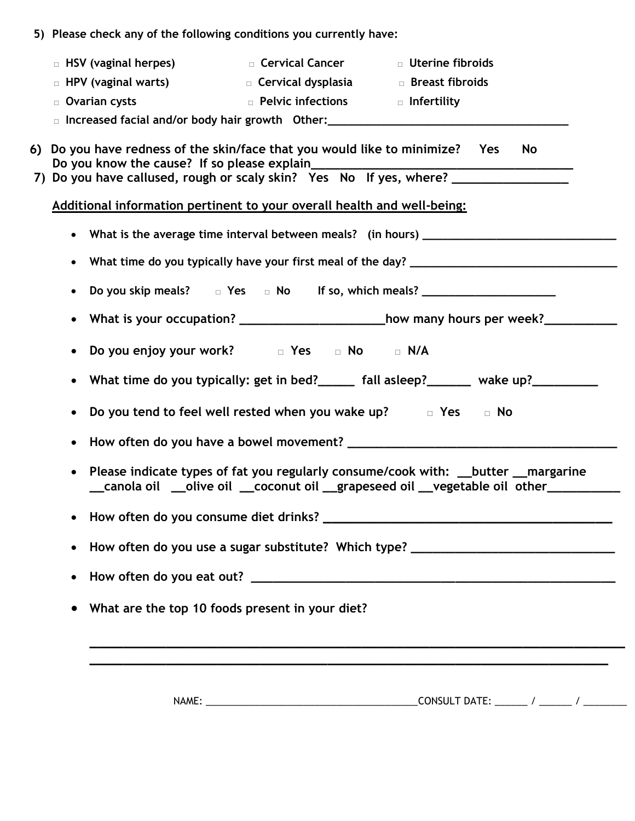| HSV (vaginal herpes)<br>$\Box$                            | $\Box$ Cervical Cancer                                                | $\Box$ Uterine fibroids |
|-----------------------------------------------------------|-----------------------------------------------------------------------|-------------------------|
| $\Box$ HPV (vaginal warts)                                | □ Cervical dysplasia                                                  | $\Box$ Breast fibroids  |
| Ovarian cysts<br>$\Box$                                   | $\Box$ Pelvic infections                                              | □ Infertility           |
| Increased facial and/or body hair growth Other:<br>$\Box$ |                                                                       |                         |
| Do you know the cause? If so please explain               | Do you have redness of the skin/face that you would like to minimize? | <b>No</b><br><b>Yes</b> |
|                                                           | Do you have callused, rough or scaly skin? Yes No If yes, where?      |                         |

| $\bullet$ | Do you skip meals?<br>$\Box$ Yes $\Box$ No If so, which meals? ______________________                                                                                        |
|-----------|------------------------------------------------------------------------------------------------------------------------------------------------------------------------------|
| $\bullet$ | What is your occupation? ________________________how many hours per week?________                                                                                            |
| $\bullet$ | Do you enjoy your work? The Sole of Note of N/A                                                                                                                              |
| $\bullet$ | What time do you typically: get in bed?_____ fall asleep?______ wake up?________                                                                                             |
| $\bullet$ | Do you tend to feel well rested when you wake up? The State Text Co No                                                                                                       |
| $\bullet$ |                                                                                                                                                                              |
| $\bullet$ | Please indicate types of fat you regularly consume/cook with: __butter __margarine<br>__canola oil __olive oil __coconut oil __grapeseed oil __vegetable oil other__________ |
| $\bullet$ |                                                                                                                                                                              |
| $\bullet$ | How often do you use a sugar substitute? Which type? ___________________________                                                                                             |
| $\bullet$ |                                                                                                                                                                              |
|           |                                                                                                                                                                              |

NAME: \_\_\_\_\_\_\_\_\_\_\_\_\_\_\_\_\_\_\_\_\_\_\_\_\_\_\_\_\_\_\_\_\_\_\_\_\_\_\_CONSULT DATE: \_\_\_\_\_\_ / \_\_\_\_\_\_ / \_\_\_\_\_\_\_\_